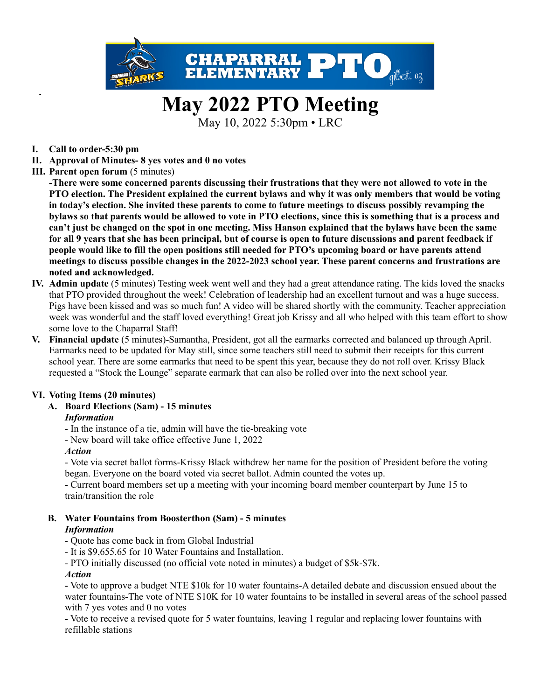

# **May 2022 PTO Meeting**

May 10, 2022 5:30pm • LRC

- **I. Call to order-5:30 pm**
- **II. Approval of Minutes- 8 yes votes and 0 no votes**
- **III. Parent open forum** (5 minutes)

-There were some concerned parents discussing their frustrations that they were not allowed to vote in the PTO election. The President explained the current bylaws and why it was only members that would be voting in today's election. She invited these parents to come to future meetings to discuss possibly revamping the bylaws so that parents would be allowed to vote in PTO elections, since this is something that is a process and can't just be changed on the spot in one meeting. Miss Hanson explained that the bylaws have been the same for all 9 years that she has been principal, but of course is open to future discussions and parent feedback if people would like to fill the open positions still needed for PTO's upcoming board or have parents attend **meetings to discuss possible changes in the 2022-2023 school year. These parent concerns and frustrations are noted and acknowledged.**

- **IV. Admin update** (5 minutes) Testing week went well and they had a great attendance rating. The kids loved the snacks that PTO provided throughout the week! Celebration of leadership had an excellent turnout and was a huge success. Pigs have been kissed and was so much fun! A video will be shared shortly with the community. Teacher appreciation week was wonderful and the staff loved everything! Great job Krissy and all who helped with this team effort to show some love to the Chaparral Staff!
- **V. Financial update** (5 minutes)-Samantha, President, got all the earmarks corrected and balanced up through April. Earmarks need to be updated for May still, since some teachers still need to submit their receipts for this current school year. There are some earmarks that need to be spent this year, because they do not roll over. Krissy Black requested a "Stock the Lounge" separate earmark that can also be rolled over into the next school year.

# **VI. Voting Items (20 minutes)**

# **A. Board Elections (Sam) - 15 minutes**

# *Information*

- *-* In the instance of a tie, admin will have the tie-breaking vote
- New board will take office effective June 1, 2022

# *Action*

- Vote via secret ballot forms-Krissy Black withdrew her name for the position of President before the voting began. Everyone on the board voted via secret ballot. Admin counted the votes up.

- Current board members set up a meeting with your incoming board member counterpart by June 15 to train/transition the role

- **B. Water Fountains from Boosterthon (Sam) - 5 minutes** *Information*
	- *-* Quote has come back in from Global Industrial
	- It is \$9,655.65 for 10 Water Fountains and Installation.
	- PTO initially discussed (no official vote noted in minutes) a budget of \$5k-\$7k.

# *Action*

- Vote to approve a budget NTE \$10k for 10 water fountains-A detailed debate and discussion ensued about the water fountains-The vote of NTE \$10K for 10 water fountains to be installed in several areas of the school passed with 7 yes votes and 0 no votes

- Vote to receive a revised quote for 5 water fountains, leaving 1 regular and replacing lower fountains with refillable stations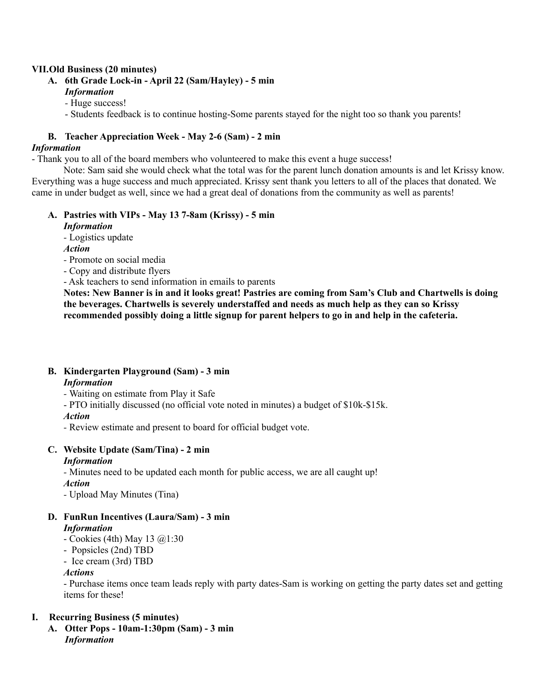#### **VII.Old Business (20 minutes)**

- **A. 6th Grade Lock-in - April 22 (Sam/Hayley) - 5 min** *Information*
	- *-* Huge success!
	- Students feedback is to continue hosting-Some parents stayed for the night too so thank you parents!

#### **B. Teacher Appreciation Week - May 2-6 (Sam) - 2 min**

#### *Information*

- Thank you to all of the board members who volunteered to make this event a huge success!

Note: Sam said she would check what the total was for the parent lunch donation amounts is and let Krissy know. Everything was a huge success and much appreciated. Krissy sent thank you letters to all of the places that donated. We came in under budget as well, since we had a great deal of donations from the community as well as parents!

#### **A. Pastries with VIPs - May 13 7-8am (Krissy) - 5 min** *Information*

*-* Logistics update

*Action*

*-* Promote on social media

- Copy and distribute flyers
- Ask teachers to send information in emails to parents

Notes: New Banner is in and it looks great! Pastries are coming from Sam's Club and Chartwells is doing **the beverages. Chartwells is severely understaffed and needs as much help as they can so Krissy recommended possibly doing a little signup for parent helpers to go in and help in the cafeteria.**

# **B. Kindergarten Playground (Sam) - 3 min**

#### *Information*

*-* Waiting on estimate from Play it Safe

- PTO initially discussed (no official vote noted in minutes) a budget of \$10k-\$15k.

# *Action*

*-* Review estimate and present to board for official budget vote.

#### **C. Website Update (Sam/Tina) - 2 min** *Information*

*-* Minutes need to be updated each month for public access, we are all caught up!

*Action*

*-* Upload May Minutes (Tina)

# **D. FunRun Incentives (Laura/Sam) - 3 min**

# *Information*

- Cookies (4th) May 13 @1:30
- Popsicles (2nd) TBD
- Ice cream (3rd) TBD

#### *Actions*

- Purchase items once team leads reply with party dates-Sam is working on getting the party dates set and getting items for these!

# **I. Recurring Business (5 minutes)**

**A. Otter Pops - 10am-1:30pm (Sam) - 3 min** *Information*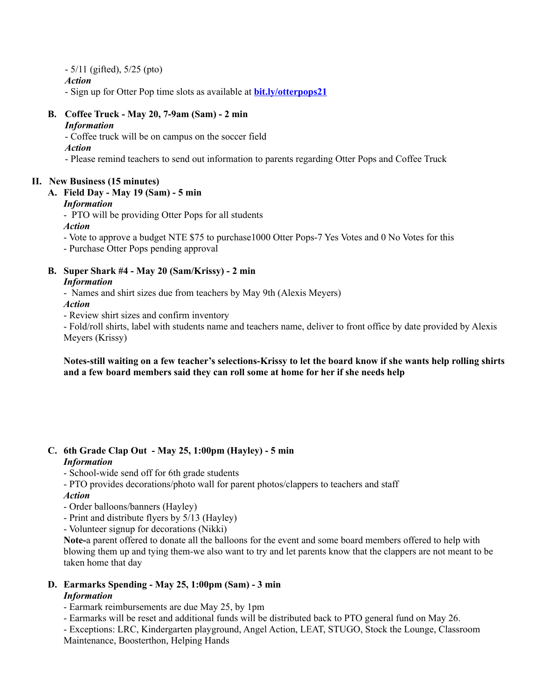- 5/11 (gifted), 5/25 (pto)

*Action*

- Sign up for Otter Pop time slots as available at **[bit.ly/otterpops21](http://bit.ly/otterpops21)**

# **B. Coffee Truck - May 20, 7-9am (Sam) - 2 min**

#### *Information*

- Coffee truck will be on campus on the soccer field

*Action*

- Please remind teachers to send out information to parents regarding Otter Pops and Coffee Truck

# **II. New Business (15 minutes)**

# **A. Field Day - May 19 (Sam) - 5 min**

# *Information*

- PTO will be providing Otter Pops for all students *Action*

- Vote to approve a budget NTE \$75 to purchase1000 Otter Pops-7 Yes Votes and 0 No Votes for this

- Purchase Otter Pops pending approval

#### **B. Super Shark #4 - May 20 (Sam/Krissy) - 2 min** *Information*

- Names and shirt sizes due from teachers by May 9th (Alexis Meyers)
- *Action*
- Review shirt sizes and confirm inventory

- Fold/roll shirts, label with students name and teachers name, deliver to front office by date provided by Alexis Meyers (Krissy)

Notes-still waiting on a few teacher's selections-Krissy to let the board know if she wants help rolling shirts **and a few board members said they can roll some at home for her if she needs help**

# **C. 6th Grade Clap Out - May 25, 1:00pm (Hayley) - 5 min**

# *Information*

- School-wide send off for 6th grade students
- PTO provides decorations/photo wall for parent photos/clappers to teachers and staff
- *Action*
- Order balloons/banners (Hayley)
- Print and distribute flyers by 5/13 (Hayley)
- Volunteer signup for decorations (Nikki)

**Note-**a parent offered to donate all the balloons for the event and some board members offered to help with blowing them up and tying them-we also want to try and let parents know that the clappers are not meant to be taken home that day

#### **D. Earmarks Spending - May 25, 1:00pm (Sam) - 3 min** *Information*

- Earmark reimbursements are due May 25, by 1pm
- Earmarks will be reset and additional funds will be distributed back to PTO general fund on May 26.

- Exceptions: LRC, Kindergarten playground, Angel Action, LEAT, STUGO, Stock the Lounge, Classroom Maintenance, Boosterthon, Helping Hands